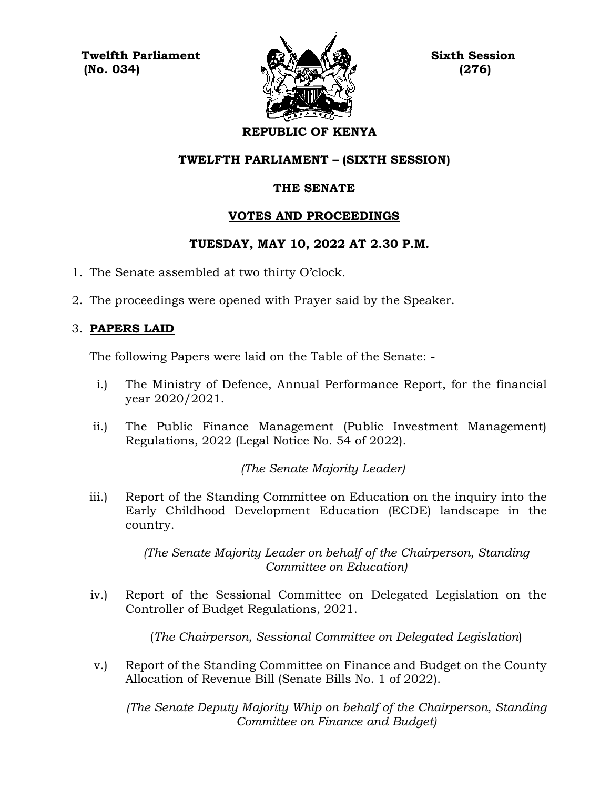**Twelfth Parliament Sixth Session**  $\mathbb{N}$  (No. 034)  $\mathbb{N}$  (276)



# **REPUBLIC OF KENYA**

#### **TWELFTH PARLIAMENT – (SIXTH SESSION)**

#### **THE SENATE**

#### **VOTES AND PROCEEDINGS**

#### **TUESDAY, MAY 10, 2022 AT 2.30 P.M.**

- 1. The Senate assembled at two thirty O'clock.
- 2. The proceedings were opened with Prayer said by the Speaker.

#### 3. **PAPERS LAID**

The following Papers were laid on the Table of the Senate: -

- i.) The Ministry of Defence, Annual Performance Report, for the financial year 2020/2021.
- ii.) The Public Finance Management (Public Investment Management) Regulations, 2022 (Legal Notice No. 54 of 2022).

*(The Senate Majority Leader)*

iii.) Report of the Standing Committee on Education on the inquiry into the Early Childhood Development Education (ECDE) landscape in the country.

> *(The Senate Majority Leader on behalf of the Chairperson, Standing Committee on Education)*

iv.) Report of the Sessional Committee on Delegated Legislation on the Controller of Budget Regulations, 2021.

(*The Chairperson, Sessional Committee on Delegated Legislation*)

v.) Report of the Standing Committee on Finance and Budget on the County Allocation of Revenue Bill (Senate Bills No. 1 of 2022).

*(The Senate Deputy Majority Whip on behalf of the Chairperson, Standing Committee on Finance and Budget)*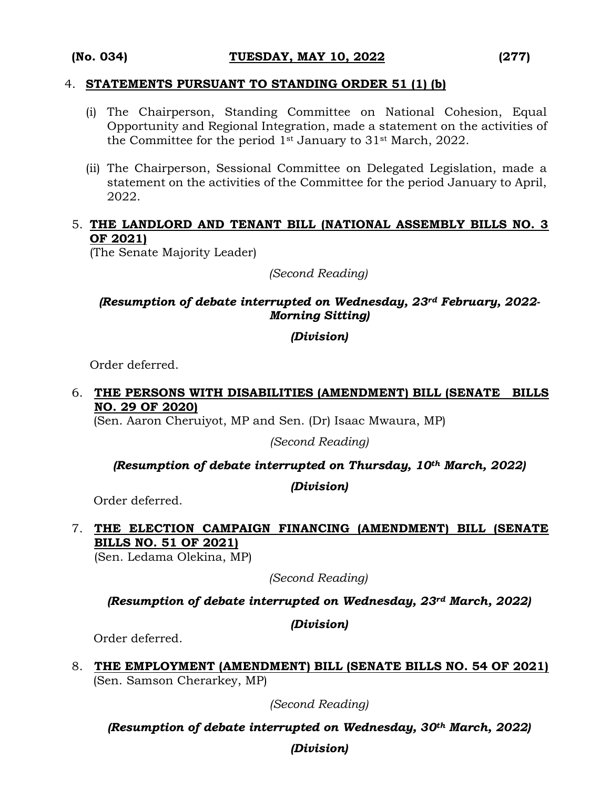#### 4. **STATEMENTS PURSUANT TO STANDING ORDER 51 (1) (b)**

- (i) The Chairperson, Standing Committee on National Cohesion, Equal Opportunity and Regional Integration, made a statement on the activities of the Committee for the period 1st January to 31st March, 2022.
- (ii) The Chairperson, Sessional Committee on Delegated Legislation, made a statement on the activities of the Committee for the period January to April, 2022.

#### 5. **THE LANDLORD AND TENANT BILL (NATIONAL ASSEMBLY BILLS NO. 3 OF 2021)**

(The Senate Majority Leader)

*(Second Reading)*

#### *(Resumption of debate interrupted on Wednesday, 23rd February, 2022- Morning Sitting)*

#### *(Division)*

Order deferred.

#### 6. **THE PERSONS WITH DISABILITIES (AMENDMENT) BILL (SENATE BILLS NO. 29 OF 2020)**

(Sen. Aaron Cheruiyot, MP and Sen. (Dr) Isaac Mwaura, MP)

*(Second Reading)*

*(Resumption of debate interrupted on Thursday, 10th March, 2022)*

*(Division)*

Order deferred.

# 7. **THE ELECTION CAMPAIGN FINANCING (AMENDMENT) BILL (SENATE BILLS NO. 51 OF 2021)**

(Sen. Ledama Olekina, MP)

*(Second Reading)*

*(Resumption of debate interrupted on Wednesday, 23rd March, 2022)*

*(Division)*

Order deferred.

8. **THE EMPLOYMENT (AMENDMENT) BILL (SENATE BILLS NO. 54 OF 2021)** (Sen. Samson Cherarkey, MP)

*(Second Reading)*

*(Resumption of debate interrupted on Wednesday, 30th March, 2022)* 

*(Division)*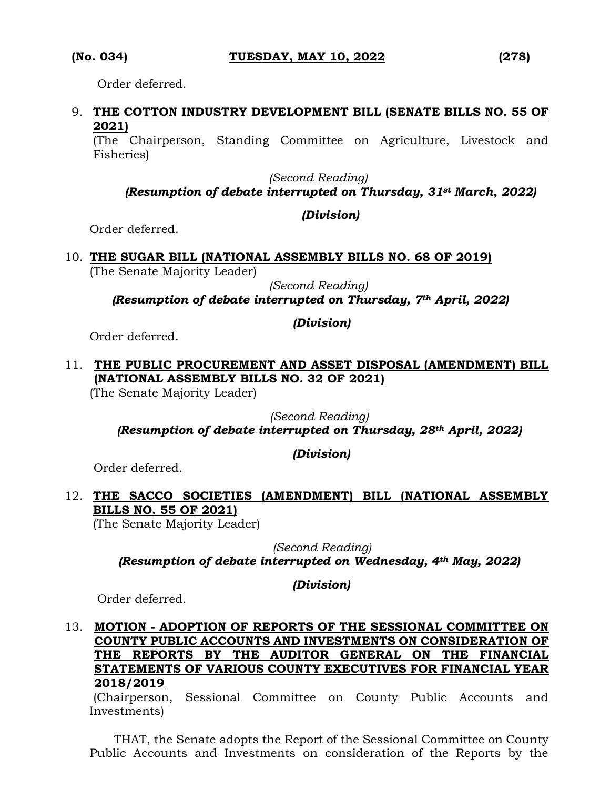Order deferred.

#### 9. **THE COTTON INDUSTRY DEVELOPMENT BILL (SENATE BILLS NO. 55 OF 2021)**

(The Chairperson, Standing Committee on Agriculture, Livestock and Fisheries)

*(Second Reading)*

# *(Resumption of debate interrupted on Thursday, 31st March, 2022)*

#### *(Division)*

Order deferred.

# 10. **THE SUGAR BILL (NATIONAL ASSEMBLY BILLS NO. 68 OF 2019)**

(The Senate Majority Leader)

*(Second Reading) (Resumption of debate interrupted on Thursday, 7th April, 2022)*

*(Division)*

Order deferred.

#### 11. **THE PUBLIC PROCUREMENT AND ASSET DISPOSAL (AMENDMENT) BILL (NATIONAL ASSEMBLY BILLS NO. 32 OF 2021)**

(The Senate Majority Leader)

#### *(Second Reading) (Resumption of debate interrupted on Thursday, 28th April, 2022)*

*(Division)*

Order deferred.

# 12. **THE SACCO SOCIETIES (AMENDMENT) BILL (NATIONAL ASSEMBLY BILLS NO. 55 OF 2021)**

(The Senate Majority Leader)

 *(Second Reading)*

*(Resumption of debate interrupted on Wednesday, 4th May, 2022)* 

*(Division)*

Order deferred.

### 13. **MOTION - ADOPTION OF REPORTS OF THE SESSIONAL COMMITTEE ON COUNTY PUBLIC ACCOUNTS AND INVESTMENTS ON CONSIDERATION OF THE REPORTS BY THE AUDITOR GENERAL ON THE FINANCIAL STATEMENTS OF VARIOUS COUNTY EXECUTIVES FOR FINANCIAL YEAR 2018/2019**

(Chairperson, Sessional Committee on County Public Accounts and Investments)

THAT, the Senate adopts the Report of the Sessional Committee on County Public Accounts and Investments on consideration of the Reports by the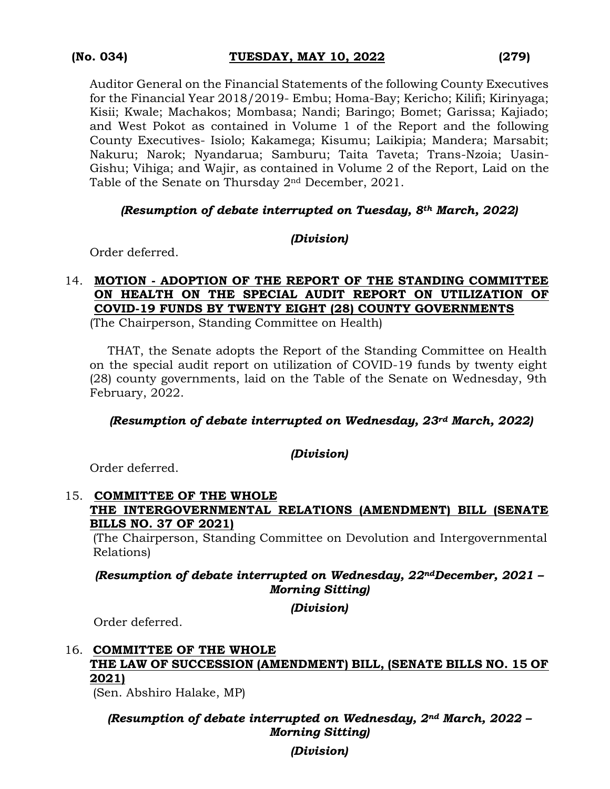Auditor General on the Financial Statements of the following County Executives for the Financial Year 2018/2019- Embu; Homa-Bay; Kericho; Kilifi; Kirinyaga; Kisii; Kwale; Machakos; Mombasa; Nandi; Baringo; Bomet; Garissa; Kajiado; and West Pokot as contained in Volume 1 of the Report and the following County Executives- Isiolo; Kakamega; Kisumu; Laikipia; Mandera; Marsabit; Nakuru; Narok; Nyandarua; Samburu; Taita Taveta; Trans-Nzoia; Uasin-Gishu; Vihiga; and Wajir, as contained in Volume 2 of the Report, Laid on the Table of the Senate on Thursday 2nd December, 2021.

#### *(Resumption of debate interrupted on Tuesday, 8th March, 2022)*

#### *(Division)*

Order deferred.

# 14. **MOTION - ADOPTION OF THE REPORT OF THE STANDING COMMITTEE ON HEALTH ON THE SPECIAL AUDIT REPORT ON UTILIZATION OF COVID-19 FUNDS BY TWENTY EIGHT (28) COUNTY GOVERNMENTS**

(The Chairperson, Standing Committee on Health)

THAT, the Senate adopts the Report of the Standing Committee on Health on the special audit report on utilization of COVID-19 funds by twenty eight (28) county governments, laid on the Table of the Senate on Wednesday, 9th February, 2022.

#### *(Resumption of debate interrupted on Wednesday, 23rd March, 2022)*

#### *(Division)*

Order deferred.

#### 15. **COMMITTEE OF THE WHOLE THE INTERGOVERNMENTAL RELATIONS (AMENDMENT) BILL (SENATE BILLS NO. 37 OF 2021)**

(The Chairperson, Standing Committee on Devolution and Intergovernmental Relations)

#### *(Resumption of debate interrupted on Wednesday, 22ndDecember, 2021 – Morning Sitting)*

*(Division)*

Order deferred.

# 16. **COMMITTEE OF THE WHOLE THE LAW OF SUCCESSION (AMENDMENT) BILL, (SENATE BILLS NO. 15 OF 2021)**

(Sen. Abshiro Halake, MP)

#### *(Resumption of debate interrupted on Wednesday, 2nd March, 2022 – Morning Sitting)*

*(Division)*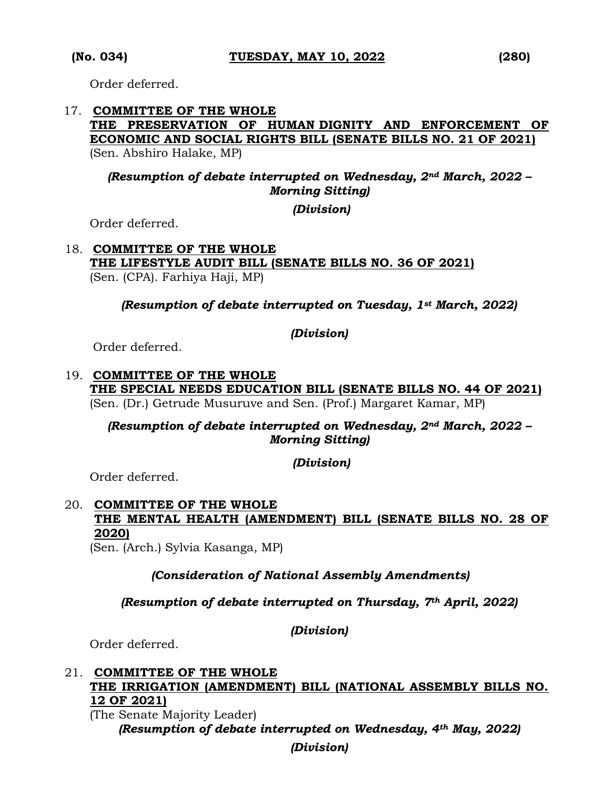Order deferred.

#### 17. **COMMITTEE OF THE WHOLE THE PRESERVATION OF HUMAN DIGNITY AND ENFORCEMENT OF ECONOMIC AND SOCIAL RIGHTS BILL (SENATE BILLS NO. 21 OF 2021)**  (Sen. Abshiro Halake, MP)

#### *(Resumption of debate interrupted on Wednesday, 2nd March, 2022 – Morning Sitting)*

*(Division)*

Order deferred.

#### 18. **COMMITTEE OF THE WHOLE THE LIFESTYLE AUDIT BILL (SENATE BILLS NO. 36 OF 2021)**  (Sen. (CPA). Farhiya Haji, MP)

*(Resumption of debate interrupted on Tuesday, 1st March, 2022)*

#### *(Division)*

Order deferred.

#### 19. **COMMITTEE OF THE WHOLE THE SPECIAL NEEDS EDUCATION BILL (SENATE BILLS NO. 44 OF 2021)**  (Sen. (Dr.) Getrude Musuruve and Sen. (Prof.) Margaret Kamar, MP)

*(Resumption of debate interrupted on Wednesday, 2nd March, 2022 – Morning Sitting)* 

#### *(Division)*

Order deferred.

# 20. **COMMITTEE OF THE WHOLE THE MENTAL HEALTH (AMENDMENT) BILL (SENATE BILLS NO. 28 OF 2020)**

(Sen. (Arch.) Sylvia Kasanga, MP)

#### *(Consideration of National Assembly Amendments)*

*(Resumption of debate interrupted on Thursday, 7th April, 2022)*

*(Division)*

Order deferred.

#### 21. **COMMITTEE OF THE WHOLE THE IRRIGATION (AMENDMENT) BILL (NATIONAL ASSEMBLY BILLS NO. 12 OF 2021)**

(The Senate Majority Leader) *(Resumption of debate interrupted on Wednesday, 4th May, 2022)*

### *(Division)*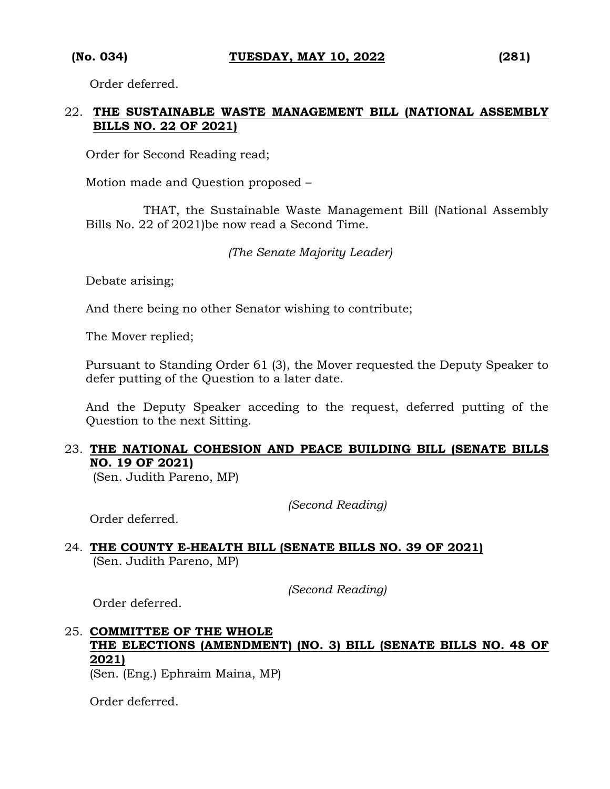Order deferred.

#### 22. **THE SUSTAINABLE WASTE MANAGEMENT BILL (NATIONAL ASSEMBLY BILLS NO. 22 OF 2021)**

Order for Second Reading read;

Motion made and Question proposed –

THAT, the Sustainable Waste Management Bill (National Assembly Bills No. 22 of 2021)be now read a Second Time.

*(The Senate Majority Leader)*

Debate arising;

And there being no other Senator wishing to contribute;

The Mover replied;

Pursuant to Standing Order 61 (3), the Mover requested the Deputy Speaker to defer putting of the Question to a later date.

And the Deputy Speaker acceding to the request, deferred putting of the Question to the next Sitting.

#### 23. **THE NATIONAL COHESION AND PEACE BUILDING BILL (SENATE BILLS NO. 19 OF 2021)**

(Sen. Judith Pareno, MP)

*(Second Reading)*

Order deferred.

#### 24. **THE COUNTY E-HEALTH BILL (SENATE BILLS NO. 39 OF 2021)**  (Sen. Judith Pareno, MP)

*(Second Reading)*

Order deferred.

# 25. **COMMITTEE OF THE WHOLE THE ELECTIONS (AMENDMENT) (NO. 3) BILL (SENATE BILLS NO. 48 OF 2021)**

(Sen. (Eng.) Ephraim Maina, MP)

Order deferred.